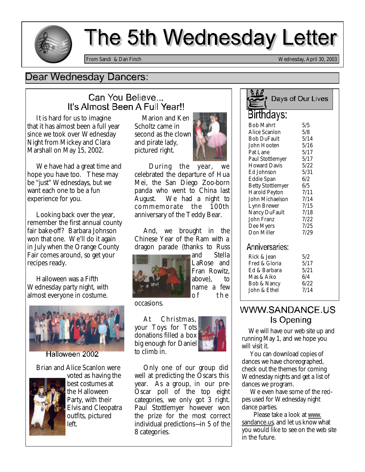

# The 5th Wednesday Letter

*From Sandi & Dan Finch Wednesday, April 30, 2003*

### Dear Wednesday Dancers:

### Can You Believe... It's Almost Been A Full Year!!

 It is hard for us to imagine that it has almost been a full year since we took over Wednesday Night from Mickey and Clara Marshall on May 15, 2002.

 We have had a great time and hope you have too. These may be "just" Wednesdays, but we want each one to be a fun experience for you.

 Looking back over the year, remember the first annual county fair bake-off? Barbara Johnson won that one. We'll do it again in July when the Orange County Fair comes around, so get your recipes ready.

 Halloween was a Fifth Wednesday party night, with almost everyone in costume.



Halloween 2002

Brian and Alice Scanlon were



voted as having the best costumes at the Halloween Party, with their Elvis and Cleopatra outfits, pictured left.

 Marion and Ken Scholtz came in second as the clown and pirate lady, pictured right.



 During the year, we celebrated the departure of Hua Mei, the San Diego Zoo-born panda who went to China last August. We had a night to commemorate the 100th anniversary of the Teddy Bear.

 And, we brought in the Chinese Year of the Ram with a dragon parade (thanks to Russ



and Stella LaRose and Fran Rowitz, above), to name a few of the

occasions.

 At Christmas, your Toys for Tots donations filled a box big enough for Daniel to climb in.



 Only one of our group did well at predicting the Oscars this year. As a group, in our pre-Oscar poll of the top eight categories, we only got 3 right. Paul Stottlemyer however won the prize for the most correct individual predictions—in 5 of the 8 categories.

# Days of Our Lives Birthdays:

| Bob Mahrt                | 5/5  |
|--------------------------|------|
| Alice Scanlon            | 5/8  |
| <b>Bob DuFault</b>       | 5/14 |
| John Hooten              | 5/16 |
| Pat Lane                 | 5/17 |
| <b>Paul Stottlemyer</b>  | 5/17 |
| <b>Howard Davis</b>      | 5/22 |
| Ed Johnson               | 5/31 |
| <b>Eddie Span</b>        | 6/2  |
| <b>Betty Stottlemyer</b> | 6/5  |
| <b>Harold Peyton</b>     | 7/11 |
| John Michaelson          | 7/14 |
| Lynn Brewer              | 7/15 |
| <b>Nancy DuFault</b>     | 7/18 |
| John Franz               | 7/22 |
| Dee Myers                | 7/25 |
| Don Miller               | 7/29 |
|                          |      |

#### Anniversaries:

| Rick & Jean<br>Fred & Gloria           | 5/2<br>5/17 |
|----------------------------------------|-------------|
| Ed & Barbara                           | 5/21        |
| Mas & Aiko                             | 6/4<br>6/22 |
| <b>Bob &amp; Nancy</b><br>John & Ethel | 7/14        |

## WWW.SANDANCE.US Is Opening

We will have our web site up and running May 1, and we hope you will visit it.

 You can download copies of dances we have choreographed, check out the themes for coming Wednesday nights and get a list of dances we program.

 We even have some of the recipes used for Wednesday night dance parties.

 Please take a look at www. sandance.us, and let us know what you would like to see on the web site in the future.